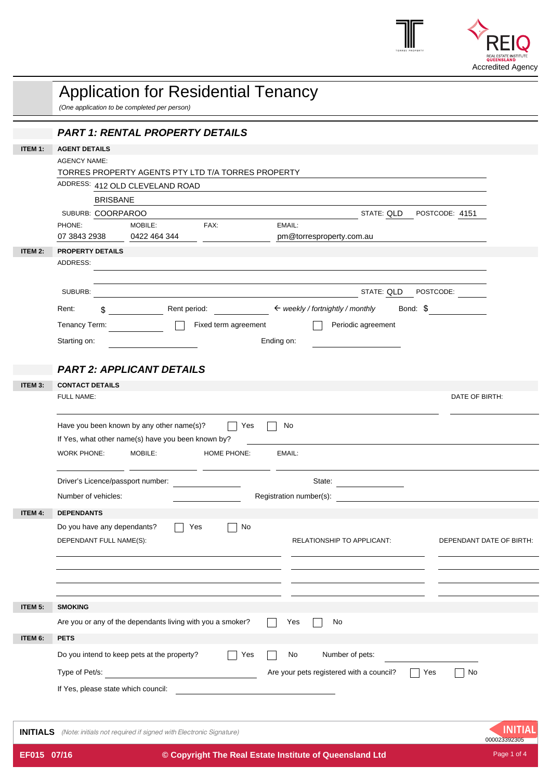

|                | <b>Application for Residential Tenancy</b><br>(One application to be completed per person) |                                                                                   |                      |                                                          |                            |                          |  |
|----------------|--------------------------------------------------------------------------------------------|-----------------------------------------------------------------------------------|----------------------|----------------------------------------------------------|----------------------------|--------------------------|--|
|                |                                                                                            | <b>PART 1: RENTAL PROPERTY DETAILS</b>                                            |                      |                                                          |                            |                          |  |
| ITEM 1:        | <b>AGENT DETAILS</b>                                                                       |                                                                                   |                      |                                                          |                            |                          |  |
|                | <b>AGENCY NAME:</b>                                                                        |                                                                                   |                      |                                                          |                            |                          |  |
|                |                                                                                            | TORRES PROPERTY AGENTS PTY LTD T/A TORRES PROPERTY                                |                      |                                                          |                            |                          |  |
|                |                                                                                            | ADDRESS: 412 OLD CLEVELAND ROAD                                                   |                      |                                                          |                            |                          |  |
|                | <b>BRISBANE</b>                                                                            |                                                                                   |                      |                                                          |                            |                          |  |
|                | SUBURB: COORPAROO<br>PHONE:                                                                | <b>MOBILE:</b>                                                                    | FAX:                 | EMAIL:                                                   | STATE: QLD POSTCODE: 4151  |                          |  |
|                | 07 3843 2938                                                                               | 0422 464 344                                                                      |                      | pm@torresproperty.com.au                                 |                            |                          |  |
| ITEM 2:        | <b>PROPERTY DETAILS</b>                                                                    |                                                                                   |                      |                                                          |                            |                          |  |
|                | ADDRESS:                                                                                   |                                                                                   |                      |                                                          |                            |                          |  |
|                |                                                                                            |                                                                                   |                      |                                                          |                            |                          |  |
|                | SUBURB:                                                                                    |                                                                                   |                      | <u> 1980 - Johann Barbara, martxa amerikan bashkar (</u> | STATE: QLD POSTCODE:       |                          |  |
|                | Rent:<br>\$.                                                                               |                                                                                   |                      | Rent period: ★ weekly / fortnightly / monthly            |                            | Bond: \$                 |  |
|                | Tenancy Term:                                                                              |                                                                                   | Fixed term agreement |                                                          | Periodic agreement         |                          |  |
|                | Starting on:                                                                               |                                                                                   |                      | Ending on:                                               |                            |                          |  |
|                |                                                                                            |                                                                                   |                      |                                                          |                            |                          |  |
|                |                                                                                            | <b>PART 2: APPLICANT DETAILS</b>                                                  |                      |                                                          |                            |                          |  |
| ITEM 3:        | <b>CONTACT DETAILS</b>                                                                     |                                                                                   |                      |                                                          |                            |                          |  |
|                | FULL NAME:                                                                                 |                                                                                   |                      |                                                          |                            | DATE OF BIRTH:           |  |
|                |                                                                                            |                                                                                   |                      |                                                          |                            |                          |  |
|                |                                                                                            | Have you been known by any other name(s)?                                         | Yes                  | No                                                       |                            |                          |  |
|                | If Yes, what other name(s) have you been known by?                                         |                                                                                   |                      |                                                          |                            |                          |  |
|                | <b>WORK PHONE:</b>                                                                         | MOBILE:                                                                           | <b>HOME PHONE:</b>   | EMAIL:                                                   |                            |                          |  |
|                | Driver's Licence/passport number:                                                          |                                                                                   |                      | State:                                                   |                            |                          |  |
|                |                                                                                            |                                                                                   |                      |                                                          |                            |                          |  |
|                | Number of vehicles:                                                                        |                                                                                   |                      | Registration number(s):                                  |                            |                          |  |
| ITEM 4:        | <b>DEPENDANTS</b>                                                                          |                                                                                   |                      |                                                          |                            |                          |  |
|                | Do you have any dependants?                                                                |                                                                                   | No<br>Yes            |                                                          |                            |                          |  |
|                | DEPENDANT FULL NAME(S):                                                                    |                                                                                   |                      |                                                          | RELATIONSHIP TO APPLICANT: | DEPENDANT DATE OF BIRTH: |  |
|                |                                                                                            |                                                                                   |                      |                                                          |                            |                          |  |
|                |                                                                                            |                                                                                   |                      |                                                          |                            |                          |  |
|                |                                                                                            |                                                                                   |                      |                                                          |                            |                          |  |
| ITEM 5:        | <b>SMOKING</b>                                                                             |                                                                                   |                      |                                                          |                            |                          |  |
|                |                                                                                            | Are you or any of the dependants living with you a smoker?                        |                      | Yes<br>No                                                |                            |                          |  |
| <b>ITEM 6:</b> | <b>PETS</b>                                                                                |                                                                                   |                      |                                                          |                            |                          |  |
|                |                                                                                            | Do you intend to keep pets at the property?                                       | Yes                  | No                                                       | Number of pets:            |                          |  |
|                |                                                                                            |                                                                                   |                      | Are your pets registered with a council?                 |                            | Yes<br>No                |  |
|                | Type of Pet/s:                                                                             |                                                                                   |                      |                                                          |                            |                          |  |
|                | If Yes, please state which council:                                                        |                                                                                   |                      |                                                          |                            |                          |  |
|                |                                                                                            |                                                                                   |                      |                                                          |                            |                          |  |
|                |                                                                                            | <b>INITIALS</b> (Note: initials not required if signed with Electronic Signature) |                      |                                                          |                            | INITIA<br>000023392305   |  |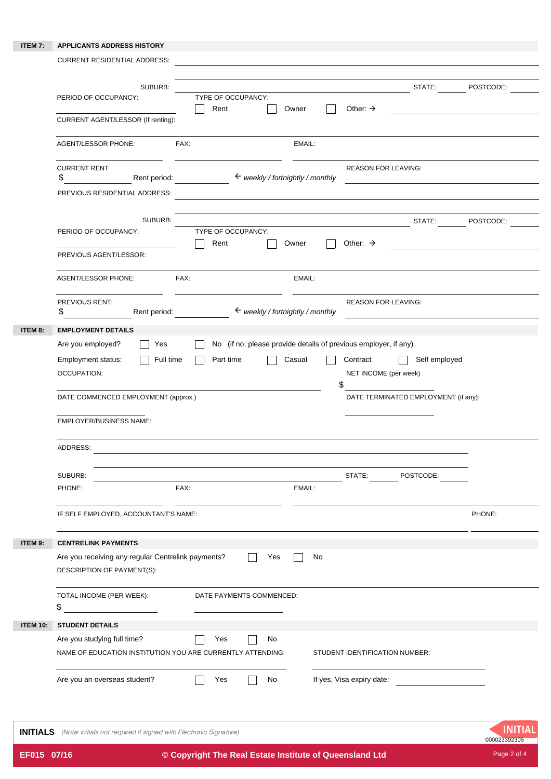## **ITEM 7: APPLICANTS ADDRESS HISTORY**

|                 | <b>CURRENT RESIDENTIAL ADDRESS:</b>                                                                                                         |                                             |                                         |                                                       |           |
|-----------------|---------------------------------------------------------------------------------------------------------------------------------------------|---------------------------------------------|-----------------------------------------|-------------------------------------------------------|-----------|
|                 | SUBURB:<br>TYPE OF OCCUPANCY:<br>PERIOD OF OCCUPANCY:<br>Rent<br>CURRENT AGENT/LESSOR (If renting):                                         | Owner                                       | Other: $\rightarrow$                    | STATE:                                                | POSTCODE: |
|                 | <b>AGENT/LESSOR PHONE:</b><br>FAX:                                                                                                          | EMAIL:                                      |                                         |                                                       |           |
|                 | <b>CURRENT RENT</b><br>\$<br>Rent period:<br>PREVIOUS RESIDENTIAL ADDRESS:                                                                  | $\leftarrow$ weekly / fortnightly / monthly | <b>REASON FOR LEAVING:</b>              |                                                       |           |
|                 | SUBURB:<br>PERIOD OF OCCUPANCY:<br>TYPE OF OCCUPANCY:<br>Rent<br>PREVIOUS AGENT/LESSOR:                                                     | Owner                                       | Other: $\rightarrow$                    | STATE:                                                | POSTCODE: |
|                 | FAX:<br>AGENT/LESSOR PHONE:                                                                                                                 | EMAIL:                                      |                                         |                                                       |           |
|                 | PREVIOUS RENT:<br>\$<br>Rent period:                                                                                                        | $\leftarrow$ weekly / fortnightly / monthly | <b>REASON FOR LEAVING:</b>              |                                                       |           |
| ITEM 8:         | <b>EMPLOYMENT DETAILS</b>                                                                                                                   |                                             |                                         |                                                       |           |
|                 | Employment status:<br>Full time<br>Part time<br><b>OCCUPATION:</b><br>DATE COMMENCED EMPLOYMENT (approx.)<br><b>EMPLOYER/BUSINESS NAME:</b> | Casual                                      | Contract<br>NET INCOME (per week)<br>\$ | Self employed<br>DATE TERMINATED EMPLOYMENT (if any): |           |
|                 | ADDRESS:                                                                                                                                    |                                             |                                         |                                                       |           |
|                 | SUBURB:<br>FAX:<br>PHONE:                                                                                                                   | EMAIL:                                      | STATE: POSTCODE:                        |                                                       |           |
|                 | IF SELF EMPLOYED, ACCOUNTANT'S NAME:                                                                                                        |                                             |                                         |                                                       | PHONE:    |
| ITEM 9:         | <b>CENTRELINK PAYMENTS</b><br>Are you receiving any regular Centrelink payments?<br>DESCRIPTION OF PAYMENT(S):                              | No<br>Yes                                   |                                         |                                                       |           |
|                 | TOTAL INCOME (PER WEEK):<br>DATE PAYMENTS COMMENCED:<br>\$                                                                                  |                                             |                                         |                                                       |           |
| <b>ITEM 10:</b> | <b>STUDENT DETAILS</b><br>Are you studying full time?<br>Yes<br>NAME OF EDUCATION INSTITUTION YOU ARE CURRENTLY ATTENDING:                  | No                                          | STUDENT IDENTIFICATION NUMBER:          |                                                       |           |
|                 | Are you an overseas student?<br>Yes                                                                                                         | No                                          | If yes, Visa expiry date:               |                                                       |           |

**INITIALS** (Note: initials not required if signed with Electronic Signature)

**INITIAL**<br>000023392305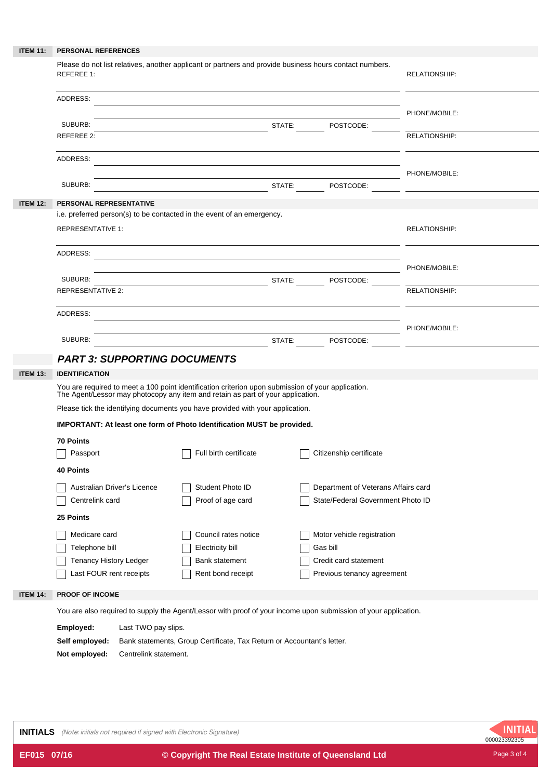| <b>ITEM 11:</b> | PERSONAL REFERENCES                                                                                                                                                                   |                                                                        |  |                                     |                      |  |  |
|-----------------|---------------------------------------------------------------------------------------------------------------------------------------------------------------------------------------|------------------------------------------------------------------------|--|-------------------------------------|----------------------|--|--|
|                 | Please do not list relatives, another applicant or partners and provide business hours contact numbers.<br><b>REFEREE 1:</b>                                                          |                                                                        |  |                                     | <b>RELATIONSHIP:</b> |  |  |
|                 | ADDRESS:                                                                                                                                                                              |                                                                        |  |                                     | PHONE/MOBILE:        |  |  |
|                 | SUBURB:                                                                                                                                                                               |                                                                        |  |                                     |                      |  |  |
|                 | REFEREE 2:                                                                                                                                                                            |                                                                        |  |                                     | <b>RELATIONSHIP:</b> |  |  |
|                 | ADDRESS:                                                                                                                                                                              |                                                                        |  |                                     |                      |  |  |
|                 | SUBURB:                                                                                                                                                                               | PHONE/MOBILE:                                                          |  |                                     |                      |  |  |
| <b>ITEM 12:</b> | PERSONAL REPRESENTATIVE                                                                                                                                                               |                                                                        |  |                                     |                      |  |  |
|                 |                                                                                                                                                                                       | i.e. preferred person(s) to be contacted in the event of an emergency. |  |                                     |                      |  |  |
|                 | <b>REPRESENTATIVE 1:</b>                                                                                                                                                              |                                                                        |  |                                     | <b>RELATIONSHIP:</b> |  |  |
|                 | ADDRESS:                                                                                                                                                                              |                                                                        |  |                                     |                      |  |  |
|                 |                                                                                                                                                                                       |                                                                        |  |                                     | PHONE/MOBILE:        |  |  |
|                 | SUBURB:<br><b>REPRESENTATIVE 2:</b>                                                                                                                                                   | STATE: POSTCODE:                                                       |  |                                     | <b>RELATIONSHIP:</b> |  |  |
|                 |                                                                                                                                                                                       |                                                                        |  |                                     |                      |  |  |
|                 | ADDRESS:                                                                                                                                                                              |                                                                        |  |                                     |                      |  |  |
|                 |                                                                                                                                                                                       | <u> 1989 - Johann Stoff, amerikansk politiker (d. 1989)</u>            |  |                                     | PHONE/MOBILE:        |  |  |
|                 | SUBURB:                                                                                                                                                                               | STATE: POSTCODE: POSTCODE:                                             |  |                                     |                      |  |  |
|                 | <b>PART 3: SUPPORTING DOCUMENTS</b>                                                                                                                                                   |                                                                        |  |                                     |                      |  |  |
| <b>ITEM 13:</b> | <b>IDENTIFICATION</b>                                                                                                                                                                 |                                                                        |  |                                     |                      |  |  |
|                 | You are required to meet a 100 point identification criterion upon submission of your application.<br>The Agent/Lessor may photocopy any item and retain as part of your application. |                                                                        |  |                                     |                      |  |  |
|                 | Please tick the identifying documents you have provided with your application.                                                                                                        |                                                                        |  |                                     |                      |  |  |
|                 | IMPORTANT: At least one form of Photo Identification MUST be provided.                                                                                                                |                                                                        |  |                                     |                      |  |  |
|                 | <b>70 Points</b>                                                                                                                                                                      |                                                                        |  |                                     |                      |  |  |
|                 | Passport                                                                                                                                                                              | Full birth certificate                                                 |  | Citizenship certificate             |                      |  |  |
|                 | <b>40 Points</b>                                                                                                                                                                      |                                                                        |  |                                     |                      |  |  |
|                 | Australian Driver's Licence                                                                                                                                                           | Student Photo ID                                                       |  | Department of Veterans Affairs card |                      |  |  |
|                 | Centrelink card                                                                                                                                                                       | Proof of age card                                                      |  | State/Federal Government Photo ID   |                      |  |  |
|                 | 25 Points                                                                                                                                                                             |                                                                        |  |                                     |                      |  |  |
|                 | Medicare card                                                                                                                                                                         | Council rates notice                                                   |  | Motor vehicle registration          |                      |  |  |
|                 | Telephone bill                                                                                                                                                                        | Electricity bill                                                       |  | Gas bill                            |                      |  |  |
|                 | Tenancy History Ledger                                                                                                                                                                | Bank statement                                                         |  | Credit card statement               |                      |  |  |
|                 | Last FOUR rent receipts                                                                                                                                                               | Rent bond receipt                                                      |  | Previous tenancy agreement          |                      |  |  |
|                 |                                                                                                                                                                                       |                                                                        |  |                                     |                      |  |  |
| <b>ITEM 14:</b> | PROOF OF INCOME                                                                                                                                                                       |                                                                        |  |                                     |                      |  |  |
|                 | You are also required to supply the Agent/Lessor with proof of your income upon submission of your application.                                                                       |                                                                        |  |                                     |                      |  |  |
|                 | Employed:<br>Last TWO pay slips.                                                                                                                                                      |                                                                        |  |                                     |                      |  |  |

**Not employed:** Centrelink statement.

**INITIALS** (Note: initials not required if signed with Electronic Signature)